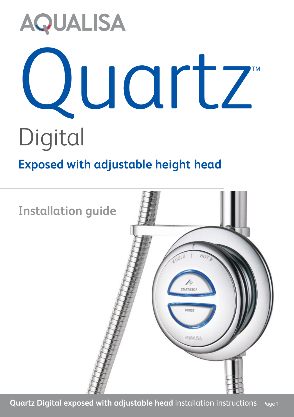# **AQUALISA** Juartz TM **Digital**

# **Exposed with adjustable height head**



**Quartz Digital exposed with adjustable head** installation instructions Page <sup>1</sup>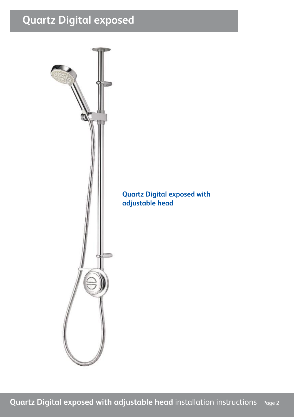## **Quartz Digital exposed**

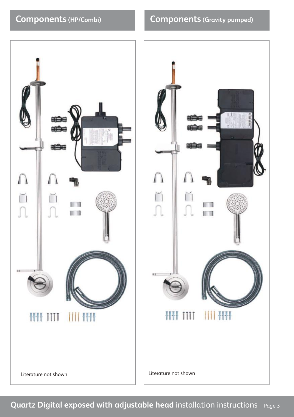#### **Components (HP/Combi)**

#### **Components (Gravity pumped)**



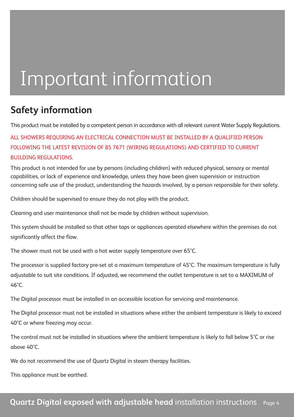# Important information

#### **Safety information**

This product must be installed by a competent person in accordance with all relevant current Water Supply Regulations.

ALL SHOWERS REQUIRING AN ELECTRICAL CONNECTION MUST BE INSTALLED BY A QUALIFIED PERSON FOLLOWING THE LATEST REVISION OF BS 7671 (WIRING REGULATIONS) AND CERTIFIED TO CURRENT BUILDING REGULATIONS.

This product is not intended for use by persons (including children) with reduced physical, sensory or mental capabilities, or lack of experience and knowledge, unless they have been given supervision or instruction concerning safe use of the product, understanding the hazards involved, by a person responsible for their safety.

Children should be supervised to ensure they do not play with the product.

Cleaning and user maintenance shall not be made by children without supervision.

This system should be installed so that other taps or appliances operated elsewhere within the premises do not significantly affect the flow.

The shower must not be used with a hot water supply temperature over 65°C.

The processor is supplied factory pre-set at a maximum temperature of 45°C. The maximum temperature is fully adjustable to suit site conditions. If adjusted, we recommend the outlet temperature is set to a MAXIMUM of  $46^\circ C$ 

The Digital processor must be installed in an accessible location for servicing and maintenance.

The Digital processor must not be installed in situations where either the ambient temperature is likely to exceed 40°C or where freezing may occur.

The control must not be installed in situations where the ambient temperature is likely to fall below 5°C or rise above 40°C.

We do not recommend the use of Quartz Digital in steam therapy facilities.

This appliance must be earthed.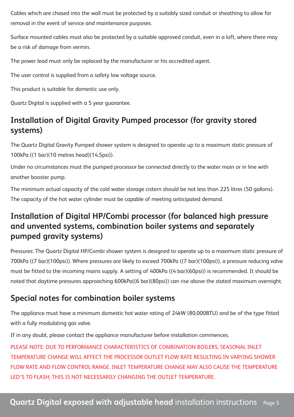Cables which are chased into the wall must be protected by a suitably sized conduit or sheathing to allow for removal in the event of service and maintenance purposes.

Surface mounted cables must also be protected by a suitable approved conduit, even in a loft, where there may be a risk of damage from vermin.

The power lead must only be replaced by the manufacturer or his accredited agent.

The user control is supplied from a safety low voltage source.

This product is suitable for domestic use only.

Quartz Digital is supplied with a 5 year guarantee.

#### **Installation of Digital Gravity Pumped processor (for gravity stored systems)**

The Quartz Digital Gravity Pumped shower system is designed to operate up to a maximum static pressure of 100kPa ((1 bar)(10 metres head)(14.5psi)).

Under no circumstances must the pumped processor be connected directly to the water main or in line with another booster pump.

The minimum actual capacity of the cold water storage cistern should be not less than 225 litres (50 gallons). The capacity of the hot water cylinder must be capable of meeting anticipated demand.

#### **Installation of Digital HP/Combi processor (for balanced high pressure and unvented systems, combination boiler systems and separately pumped gravity systems)**

Pressures: The Quartz Digital HP/Combi shower system is designed to operate up to a maximum static pressure of 700kPa ((7 bar)(100psi)). Where pressures are likely to exceed 700kPa ((7 bar)(100psi)), a pressure reducing valve must be fitted to the incoming mains supply. A setting of 400kPa ((4 bar)(60psi)) is recommended. It should be noted that daytime pressures approaching 600kPa((6 bar)(80psi)) can rise above the stated maximum overnight.

#### **Special notes for combination boiler systems**

The appliance must have a minimum domestic hot water rating of 24kW (80,000BTU) and be of the type fitted with a fully modulating gas valve.

If in any doubt, please contact the appliance manufacturer before installation commences.

PLEASE NOTE: DUE TO PERFORMANCE CHARACTERISTICS OF COMBINATION BOILERS, SEASONAL INLET TEMPERATURE CHANGE WILL AFFECT THE PROCESSOR OUTLET FLOW RATE RESULTING IN VARYING SHOWER FLOW RATE AND FLOW CONTROL RANGE. INLET TEMPERATURE CHANGE MAY ALSO CAUSE THE TEMPERATURE LED'S TO FLASH; THIS IS NOT NECESSARILY CHANGING THE OUTLET TEMPERATURE.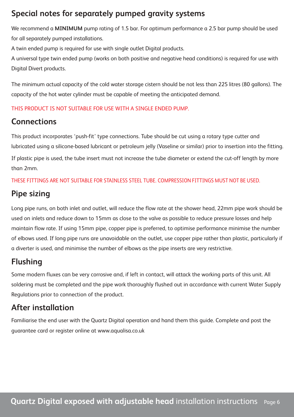#### **Special notes for separately pumped gravity systems**

We recommend a **MINIMUM** pump rating of 1.5 bar. For optimum performance a 2.5 bar pump should be used for all separately pumped installations.

A twin ended pump is required for use with single outlet Digital products.

A universal type twin ended pump (works on both positive and negative head conditions) is required for use with Digital Divert products.

The minimum actual capacity of the cold water storage cistern should be not less than 225 litres (80 gallons). The capacity of the hot water cylinder must be capable of meeting the anticipated demand.

#### THIS PRODUCT IS NOT SUITABLE FOR USE WITH A SINGLE ENDED PUMP.

#### **Connections**

This product incorporates 'push-fit' type connections. Tube should be cut using a rotary type cutter and lubricated using a silicone-based lubricant or petroleum jelly (Vaseline or similar) prior to insertion into the fitting. If plastic pipe is used, the tube insert must not increase the tube diameter or extend the cut-off length by more than 2mm.

THESE FITTINGS ARE NOT SUITABLE FOR STAINLESS STEEL TUBE. COMPRESSION FITTINGS MUST NOT BE USED.

#### **Pipe sizing**

Long pipe runs, on both inlet and outlet, will reduce the flow rate at the shower head, 22mm pipe work should be used on inlets and reduce down to 15mm as close to the valve as possible to reduce pressure losses and help maintain flow rate. If using 15mm pipe, copper pipe is preferred, to optimise performance minimise the number of elbows used. If long pipe runs are unavoidable on the outlet, use copper pipe rather than plastic, particularly if a diverter is used, and minimise the number of elbows as the pipe inserts are very restrictive.

#### **Flushing**

Some modern fluxes can be very corrosive and, if left in contact, will attack the working parts of this unit. All soldering must be completed and the pipe work thoroughly flushed out in accordance with current Water Supply Regulations prior to connection of the product.

#### **After installation**

Familiarise the end user with the Quartz Digital operation and hand them this guide. Complete and post the guarantee card or register online at www.aqualisa.co.uk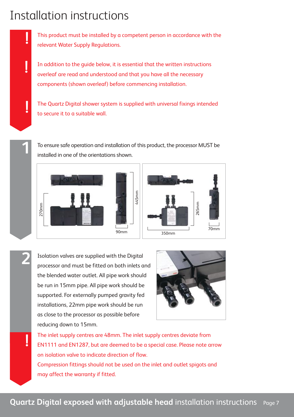## Installation instructions

**!**

**!**

**!**

**2**

**!**

This product must be installed by a competent person in accordance with the relevant Water Supply Regulations.

In addition to the guide below, it is essential that the written instructions overleaf are read and understood and that you have all the necessary components (shown overleaf) before commencing installation.

The Quartz Digital shower system is supplied with universal fixings intended to secure it to a suitable wall.

To ensure safe operation and installation of this product, the processor MUST be installed in one of the orientations shown.



Isolation valves are supplied with the Digital processor and must be fitted on both inlets and the blended water outlet. All pipe work should be run in 15mm pipe. All pipe work should be supported. For externally pumped gravity fed installations, 22mm pipe work should be run as close to the processor as possible before reducing down to 15mm.



The inlet supply centres are 48mm. The inlet supply centres deviate from EN1111 and EN1287, but are deemed to be a special case. Please note arrow on isolation valve to indicate direction of flow. Compression fittings should not be used on the inlet and outlet spigots and may affect the warranty if fitted.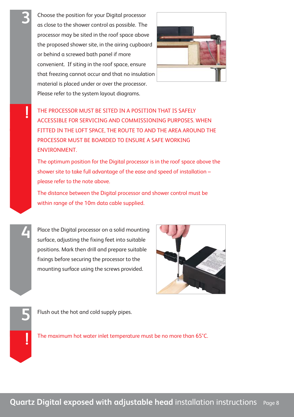Choose the position for your Digital processor as close to the shower control as possible. The processor may be sited in the roof space above the proposed shower site, in the airing cupboard or behind a screwed bath panel if more convenient. If siting in the roof space, ensure that freezing cannot occur and that no insulation material is placed under or over the processor. Please refer to the system layout diagrams.



**!** THE PROCESSOR MUST BE SITED IN <sup>A</sup> POSITION THAT IS SAFELY ACCESSIBLE FOR SERVICING AND COMMISSIONING PURPOSES. WHEN FITTED IN THE LOFT SPACE, THE ROUTE TO AND THE AREA AROUND THE PROCESSOR MUST BE BOARDED TO ENSURE A SAFE WORKING ENVIRONMENT.

The optimum position for the Digital processor is in the roof space above the shower site to take full advantage of the ease and speed of installation – please refer to the note above.

The distance between the Digital processor and shower control must be within range of the 10m data cable supplied.

Place the Digital processor on a solid mounting surface, adjusting the fixing feet into suitable positions. Mark then drill and prepare suitable fixings before securing the processor to the mounting surface using the screws provided.



Flush out the hot and cold supply pipes. **5**

**!**

**4**

The maximum hot water inlet temperature must be no more than 65°C.

**3**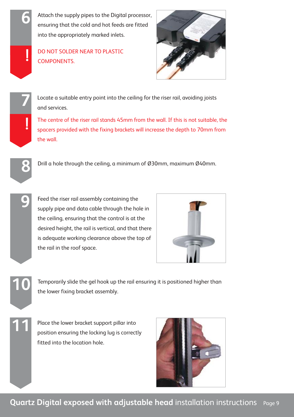**6** Attach the supply pipes to the Digital processor, ensuring that the cold and hot feeds are fitted into the appropriately marked inlets.

DO NOT SOLDER NEAR TO PLASTIC **DO NOT SOLDER**<br>**COMPONENTS** 



**7** Locate a suitable entry point into the ceiling for the riser rail, avoiding joists and services.

The centre of the riser rail stands 45mm from the wall. If this is not suitable, the spacers provided with the fixing brackets will increase the depth to 70mm from the wall.



**!**

**9**

**11**

Drill a hole through the ceiling, a minimum of Ø30mm, maximum Ø40mm.

Feed the riser rail assembly containing the supply pipe and data cable through the hole in the ceiling, ensuring that the control is at the desired height, the rail is vertical, and that there is adequate working clearance above the top of the rail in the roof space.



Temporarily slide the gel hook up the rail ensuring it is positioned higher than **10** the lower fixing bracket assembly.

Place the lower bracket support pillar into position ensuring the locking lug is correctly fitted into the location hole.

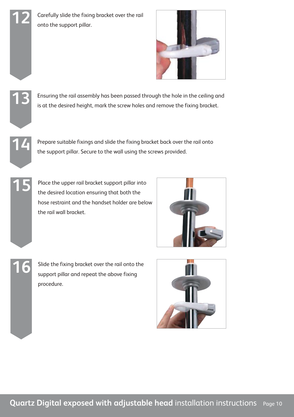12 Carefully slide the fixing bracket over the rail<br>
onto the support pillar.





**15**

**16**

Ensuring the rail assembly has been passed through the hole in the ceiling and **13** is at the desired height, mark the screw holes and remove the fixing bracket.

Prepare suitable fixings and slide the fixing bracket back over the rail onto **14** the support pillar. Secure to the wall using the screws provided.

Place the upper rail bracket support pillar into the desired location ensuring that both the hose restraint and the handset holder are below the rail wall bracket.



Slide the fixing bracket over the rail onto the support pillar and repeat the above fixing procedure.

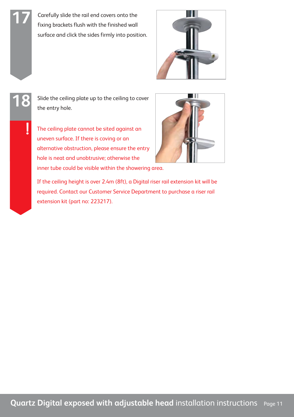Carefully slide the rail end covers onto the fixing brackets flush with the finished wall surface and click the sides firmly into position.





**17**

18 slide the ceiling plate up to the ceiling to cover<br>the entry hole.

The ceiling plate cannot be sited against an uneven surface. If there is coving or an alternative obstruction, please ensure the entry hole is neat and unobtrusive; otherwise the inner tube could be visible within the showering area.



If the ceiling height is over 2.4m (8ft), a Digital riser rail extension kit will be required. Contact our Customer Service Department to purchase a riser rail extension kit (part no: 223217).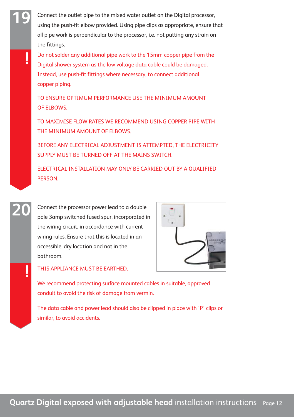Connect the outlet pipe to the mixed water outlet on the Digital processor, using the push-fit elbow provided. Using pipe clips as appropriate, ensure that all pipe work is perpendicular to the processor, i.e. not putting any strain on the fittings.

**19**

**!**

**20**

**!**

Do not solder any additional pipe work to the 15mm copper pipe from the Digital shower system as the low voltage data cable could be damaged. Instead, use push-fit fittings where necessary, to connect additional copper piping.

TO ENSURE OPTIMUM PERFORMANCE USE THE MINIMUM AMOUNT OF ELBOWS.

TO MAXIMISE FLOW RATES WE RECOMMEND USING COPPER PIPE WITH THE MINIMUM AMOUNT OF ELBOWS.

BEFORE ANY ELECTRICAL ADJUSTMENT IS ATTEMPTED, THE ELECTRICITY SUPPLY MUST BE TURNED OFF AT THE MAINS SWITCH.

ELECTRICAL INSTALLATION MAY ONLY BE CARRIED OUT BY A QUALIFIED PERSON.

Connect the processor power lead to a double pole 3amp switched fused spur, incorporated in the wiring circuit, in accordance with current wiring rules. Ensure that this is located in an accessible, dry location and not in the bathroom.



THIS APPLIANCE MUST BE EARTHED.

We recommend protecting surface mounted cables in suitable, approved conduit to avoid the risk of damage from vermin.

The data cable and power lead should also be clipped in place with 'P' clips or similar, to avoid accidents.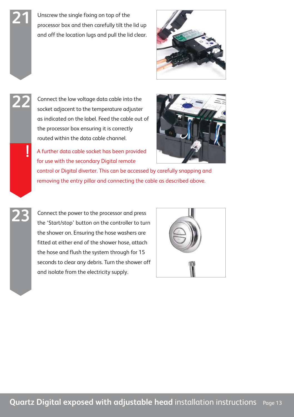Unscrew the single fixing on top of the processor box and then carefully tilt the lid up and off the location lugs and pull the lid clear.



Connect the low voltage data cable into the socket adjacent to the temperature adjuster as indicated on the label. Feed the cable out of the processor box ensuring it is correctly routed within the data cable channel.

**22**

**21**

**!**

**23**

A further data cable socket has been provided for use with the secondary Digital remote



control or Digital diverter. This can be accessed by carefully snapping and removing the entry pillar and connecting the cable as described above.

Connect the power to the processor and press the 'Start/stop' button on the controller to turn the shower on. Ensuring the hose washers are fitted at either end of the shower hose, attach the hose and flush the system through for 15 seconds to clear any debris. Turn the shower off and isolate from the electricity supply.

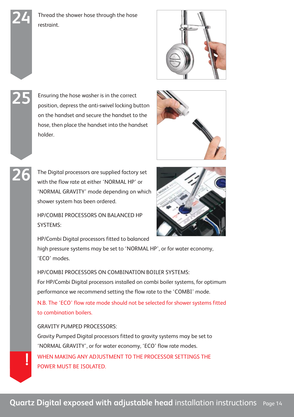24 Thread the shower hose through the hose<br>restraint.



Ensuring the hose washer is in the correct position, depress the anti-swivel locking button on the handset and secure the handset to the hose, then place the handset into the handset holder.

**25**

**26**



The Digital processors are supplied factory set with the flow rate at either 'NORMAL HP' or 'NORMAL GRAVITY' mode depending on which shower system has been ordered.

HP/COMBI PROCESSORS ON BALANCED HP SYSTEMS:

HP/Combi Digital processors fitted to balanced

high pressure systems may be set to 'NORMAL HP', or for water economy, 'ECO' modes.

HP/COMBI PROCESSORS ON COMBINATION BOILER SYSTEMS: For HP/Combi Digital processors installed on combi boiler systems, for optimum performance we recommend setting the flow rate to the 'COMBI' mode.

N.B. The 'ECO' flow rate mode should not be selected for shower systems fitted to combination boilers.

GRAVITY PUMPED PROCESSORS: Gravity Pumped Digital processors fitted to gravity systems may be set to 'NORMAL GRAVITY', or for water economy, 'ECO' flow rate modes. WHEN MAKING ANY ADJUSTMENT TO THE PROCESSOR SETTINGS THE POWER MUST BE ISOLATED. **!**

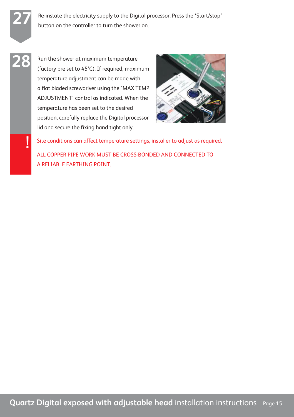**27 Re-instate the electricity supply to the Digital processor. Press the 'Start/stop'** button on the controller to turn the shower on.

Run the shower at maximum temperature (factory pre set to 45°C). If required, maximum temperature adjustment can be made with a flat bladed screwdriver using the 'MAX TEMP ADJUSTMENT' control as indicated. When the temperature has been set to the desired position, carefully replace the Digital processor lid and secure the fixing hand tight only.

**28**

**!**



Site conditions can affect temperature settings, installer to adjust as required. ALL COPPER PIPE WORK MUST BE CROSS-BONDED AND CONNECTED TO A RELIABLE EARTHING POINT.